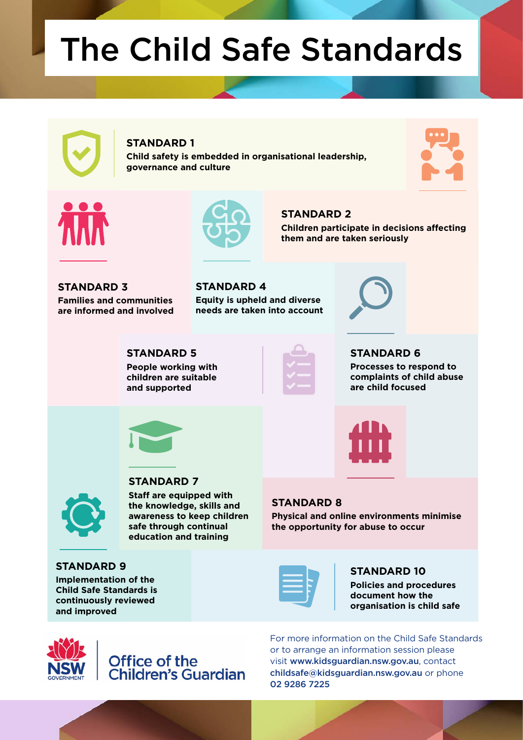# The Child Safe Standards

#### **STANDARD 1**

**Child safety is embedded in organisational leadership, governance and culture**







**Children participate in decisions affecting them and are taken seriously**

**STANDARD 3 Families and communities are informed and involved** **STANDARD 4 Equity is upheld and diverse needs are taken into account**



**STANDARD 5 People working with children are suitable and supported**



**STANDARD 2** 

**STANDARD 6** 

**Processes to respond to complaints of child abuse are child focused**





#### **STANDARD 7**

**Staff are equipped with the knowledge, skills and awareness to keep children safe through continual education and training**

**STANDARD 9**

**Implementation of the Child Safe Standards is continuously reviewed and improved**

#### **STANDARD 8**

**Physical and online environments minimise the opportunity for abuse to occur**

#### **STANDARD 10**

**Policies and procedures document how the organisation is child safe**



## Office of the<br>Children's Guardian

For more information on the Child Safe Standards or to arrange an information session please visit www.kidsguardian.nsw.gov.au, contact childsafe@kidsguardian.nsw.gov.au or phone 02 9286 7225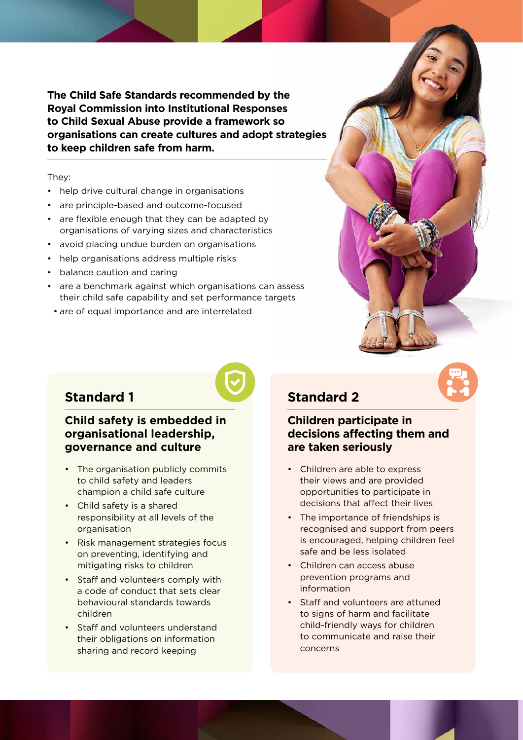**The Child Safe Standards recommended by the Royal Commission into Institutional Responses to Child Sexual Abuse provide a framework so organisations can create cultures and adopt strategies to keep children safe from harm.**

They:

- help drive cultural change in organisations
- are principle-based and outcome-focused
- are flexible enough that they can be adapted by organisations of varying sizes and characteristics
- avoid placing undue burden on organisations
- help organisations address multiple risks
- balance caution and caring
- are a benchmark against which organisations can assess their child safe capability and set performance targets
- are of equal importance and are interrelated



## **Standard 1**

#### **Child safety is embedded in organisational leadership, governance and culture**

- The organisation publicly commits to child safety and leaders champion a child safe culture
- Child safety is a shared responsibility at all levels of the organisation
- Risk management strategies focus on preventing, identifying and mitigating risks to children
- Staff and volunteers comply with a code of conduct that sets clear behavioural standards towards children
- Staff and volunteers understand their obligations on information sharing and record keeping

## **Standard 2**

#### **Children participate in decisions affecting them and are taken seriously**

- Children are able to express their views and are provided opportunities to participate in decisions that affect their lives
- The importance of friendships is recognised and support from peers is encouraged, helping children feel safe and be less isolated
- Children can access abuse prevention programs and information
- Staff and volunteers are attuned to signs of harm and facilitate child-friendly ways for children to communicate and raise their concerns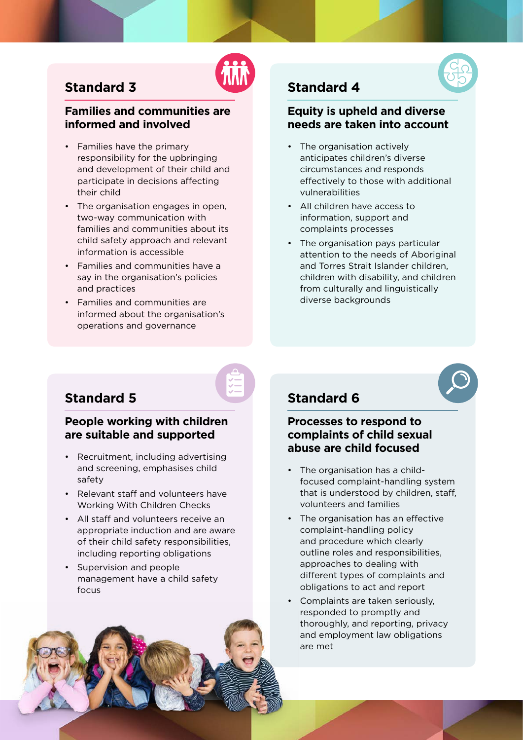

## **Standard 3**

#### **Families and communities are informed and involved**

- Families have the primary responsibility for the upbringing and development of their child and participate in decisions affecting their child
- The organisation engages in open, two-way communication with families and communities about its child safety approach and relevant information is accessible
- Families and communities have a say in the organisation's policies and practices
- Families and communities are informed about the organisation's operations and governance

## **Standard 4**

#### **Equity is upheld and diverse needs are taken into account**

- The organisation actively anticipates children's diverse circumstances and responds effectively to those with additional vulnerabilities
- All children have access to information, support and complaints processes
- The organisation pays particular attention to the needs of Aboriginal and Torres Strait Islander children, children with disability, and children from culturally and linguistically diverse backgrounds

## **Standard 5**

#### **People working with children are suitable and supported**

- Recruitment, including advertising and screening, emphasises child safety
- Relevant staff and volunteers have Working With Children Checks
- All staff and volunteers receive an appropriate induction and are aware of their child safety responsibilities, including reporting obligations
- Supervision and people management have a child safety focus

## **Standard 6**

#### **Processes to respond to complaints of child sexual abuse are child focused**

- The organisation has a childfocused complaint-handling system that is understood by children, staff, volunteers and families
- The organisation has an effective complaint-handling policy and procedure which clearly outline roles and responsibilities, approaches to dealing with different types of complaints and obligations to act and report
- Complaints are taken seriously, responded to promptly and thoroughly, and reporting, privacy and employment law obligations are met